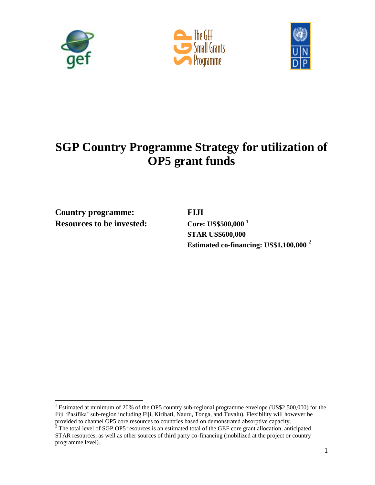





# **SGP Country Programme Strategy for utilization of OP5 grant funds**

**Country programme: FIJI Resources to be invested: Core: US\$500,000 <sup>1</sup>**

 $\overline{a}$ 

**STAR US\$600,000 Estimated co-financing: US\$1,100,000** <sup>2</sup>

<sup>&</sup>lt;sup>1</sup> Estimated at minimum of 20% of the OP5 country sub-regional programme envelope (US\$2,500,000) for the Fiji 'Pasifika' sub-region including Fiji, Kiribati, Nauru, Tonga, and Tuvalu). Flexibility will however be provided to channel OP5 core resources to countries based on demonstrated absorptive capacity.

 $2^2$  The total level of SGP OP5 resources is an estimated total of the GEF core grant allocation, anticipated STAR resources, as well as other sources of third party co-financing (mobilized at the project or country programme level).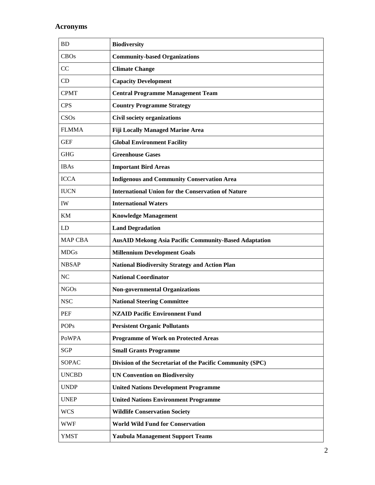## **Acronyms**

| <b>BD</b>      | <b>Biodiversity</b>                                          |
|----------------|--------------------------------------------------------------|
| <b>CBOs</b>    | <b>Community-based Organizations</b>                         |
| CC             | <b>Climate Change</b>                                        |
| CD             | <b>Capacity Development</b>                                  |
| <b>CPMT</b>    | <b>Central Programme Management Team</b>                     |
| <b>CPS</b>     | <b>Country Programme Strategy</b>                            |
| CSOs           | <b>Civil society organizations</b>                           |
| <b>FLMMA</b>   | <b>Fiji Locally Managed Marine Area</b>                      |
| <b>GEF</b>     | <b>Global Environment Facility</b>                           |
| <b>GHG</b>     | <b>Greenhouse Gases</b>                                      |
| <b>IBAs</b>    | <b>Important Bird Areas</b>                                  |
| <b>ICCA</b>    | <b>Indigenous and Community Conservation Area</b>            |
| <b>IUCN</b>    | <b>International Union for the Conservation of Nature</b>    |
| IW             | <b>International Waters</b>                                  |
| KM             | <b>Knowledge Management</b>                                  |
| LD             | <b>Land Degradation</b>                                      |
| <b>MAP CBA</b> | <b>AusAID Mekong Asia Pacific Community-Based Adaptation</b> |
| <b>MDGs</b>    | <b>Millennium Development Goals</b>                          |
| <b>NBSAP</b>   | <b>National Biodiversity Strategy and Action Plan</b>        |
| NC             | <b>National Coordinator</b>                                  |
| <b>NGOs</b>    | <b>Non-governmental Organizations</b>                        |
| <b>NSC</b>     | <b>National Steering Committee</b>                           |
| PEF            | <b>NZAID Pacific Environnent Fund</b>                        |
| <b>POPs</b>    | <b>Persistent Organic Pollutants</b>                         |
| <b>PoWPA</b>   | <b>Programme of Work on Protected Areas</b>                  |
| <b>SGP</b>     | <b>Small Grants Programme</b>                                |
| <b>SOPAC</b>   | Division of the Secretariat of the Pacific Community (SPC)   |
| <b>UNCBD</b>   | <b>UN Convention on Biodiversity</b>                         |
| <b>UNDP</b>    | <b>United Nations Development Programme</b>                  |
| <b>UNEP</b>    | <b>United Nations Environment Programme</b>                  |
| <b>WCS</b>     | <b>Wildlife Conservation Society</b>                         |
| <b>WWF</b>     | <b>World Wild Fund for Conservation</b>                      |
| <b>YMST</b>    | <b>Yaubula Management Support Teams</b>                      |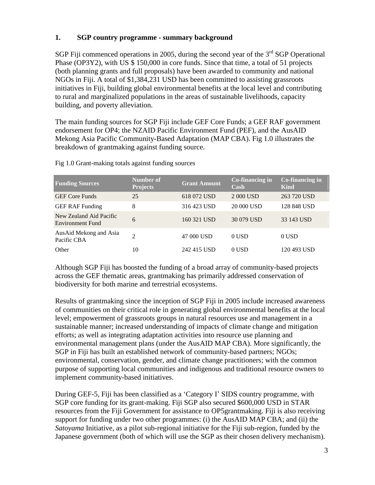### **1. SGP country programme - summary background**

SGP Fiji commenced operations in 2005, during the second year of the  $3<sup>rd</sup>$  SGP Operational Phase (OP3Y2), with US \$ 150,000 in core funds. Since that time, a total of 51 projects (both planning grants and full proposals) have been awarded to community and national NGOs in Fiji. A total of \$1,384,231 USD has been committed to assisting grassroots initiatives in Fiji, building global environmental benefits at the local level and contributing to rural and marginalized populations in the areas of sustainable livelihoods, capacity building, and poverty alleviation.

The main funding sources for SGP Fiji include GEF Core Funds; a GEF RAF government endorsement for OP4; the NZAID Pacific Environment Fund (PEF), and the AusAID Mekong Asia Pacific Community-Based Adaptation (MAP CBA). Fig 1.0 illustrates the breakdown of grantmaking against funding source.

| <b>Funding Sources</b>                      | Number of<br><b>Projects</b> | <b>Grant Amount</b> | Co-financing in<br>Cash | $Co$ -financing in<br>Kind |
|---------------------------------------------|------------------------------|---------------------|-------------------------|----------------------------|
| <b>GEF</b> Core Funds                       | 25                           | 618 072 USD         | 2 000 USD               | 263 720 USD                |
| <b>GEF RAF Funding</b>                      | 8                            | 316 423 USD         | 20 000 USD              | 128 848 USD                |
| New Zealand Aid Pacific<br>Environment Fund | 6                            | 160 321 USD         | 30 079 USD              | 33 143 USD                 |
| AusAid Mekong and Asia<br>Pacific CBA       | $\mathfrak{D}$               | 47 000 USD          | 0 USD                   | 0 USD                      |
| Other                                       | 10                           | 242 415 USD         | 0 USD                   | 120 493 USD                |

Fig 1.0 Grant-making totals against funding sources

Although SGP Fiji has boosted the funding of a broad array of community-based projects across the GEF thematic areas, grantmaking has primarily addressed conservation of biodiversity for both marine and terrestrial ecosystems.

Results of grantmaking since the inception of SGP Fiji in 2005 include increased awareness of communities on their critical role in generating global environmental benefits at the local level; empowerment of grassroots groups in natural resources use and management in a sustainable manner; increased understanding of impacts of climate change and mitigation efforts; as well as integrating adaptation activities into resource use planning and environmental management plans (under the AusAID MAP CBA). More significantly, the SGP in Fiji has built an established network of community-based partners; NGOs; environmental, conservation, gender, and climate change practitioners; with the common purpose of supporting local communities and indigenous and traditional resource owners to implement community-based initiatives.

During GEF-5, Fiji has been classified as a 'Category I' SIDS country programme, with SGP core funding for its grant-making. Fiji SGP also secured \$600,000 USD in STAR resources from the Fiji Government for assistance to OP5grantmaking. Fiji is also receiving support for funding under two other programmes: (i) the AusAID MAP CBA; and (ii) the *Satoyama* Initiative, as a pilot sub-regional initiative for the Fiji sub-region, funded by the Japanese government (both of which will use the SGP as their chosen delivery mechanism).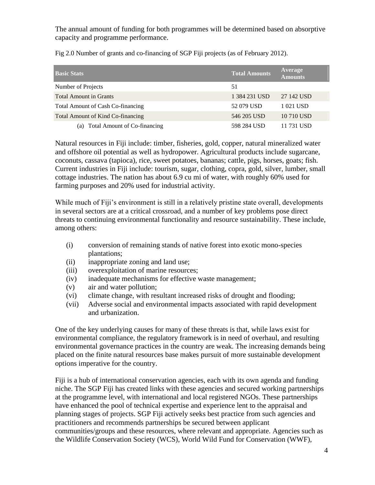The annual amount of funding for both programmes will be determined based on absorptive capacity and programme performance.

| Fig 2.0 Number of grants and co-financing of SGP Fiji projects (as of February 2012). |  |  |  |
|---------------------------------------------------------------------------------------|--|--|--|
|---------------------------------------------------------------------------------------|--|--|--|

| <b>Basic Stats</b>                  | <b>Total Amounts</b> | Average<br><b>Amounts</b> |
|-------------------------------------|----------------------|---------------------------|
| Number of Projects                  | 51                   |                           |
| <b>Total Amount in Grants</b>       | 1 384 231 USD        | 27 142 USD                |
| Total Amount of Cash Co-financing   | 52 079 USD           | 1 021 USD                 |
| Total Amount of Kind Co-financing   | 546 205 USD          | 10 710 USD                |
| Total Amount of Co-financing<br>(a) | 598 284 USD          | 11 731 USD                |

Natural resources in Fiji include: timber, fisheries, gold, copper, natural mineralized water and offshore oil potential as well as hydropower. Agricultural products include sugarcane, coconuts, cassava (tapioca), rice, sweet potatoes, bananas; cattle, pigs, horses, goats; fish. Current industries in Fiji include: tourism, sugar, clothing, copra, gold, silver, lumber, small cottage industries. The nation has about 6.9 cu mi of water, with roughly 60% used for farming purposes and 20% used for industrial activity.

While much of Fiji's environment is still in a relatively pristine state overall, developments in several sectors are at a critical crossroad, and a number of key problems pose direct threats to continuing environmental functionality and resource sustainability. These include, among others:

- (i) conversion of remaining stands of native forest into exotic mono-species plantations;
- (ii) inappropriate zoning and land use;
- (iii) overexploitation of marine resources;
- (iv) inadequate mechanisms for effective waste management;
- (v) air and water pollution;
- (vi) climate change, with resultant increased risks of drought and flooding;
- (vii) Adverse social and environmental impacts associated with rapid development and urbanization.

One of the key underlying causes for many of these threats is that, while laws exist for environmental compliance, the regulatory framework is in need of overhaul, and resulting environmental governance practices in the country are weak. The increasing demands being placed on the finite natural resources base makes pursuit of more sustainable development options imperative for the country.

Fiji is a hub of international conservation agencies, each with its own agenda and funding niche. The SGP Fiji has created links with these agencies and secured working partnerships at the programme level, with international and local registered NGOs. These partnerships have enhanced the pool of technical expertise and experience lent to the appraisal and planning stages of projects. SGP Fiji actively seeks best practice from such agencies and practitioners and recommends partnerships be secured between applicant communities/groups and these resources, where relevant and appropriate. Agencies such as the Wildlife Conservation Society (WCS), World Wild Fund for Conservation (WWF),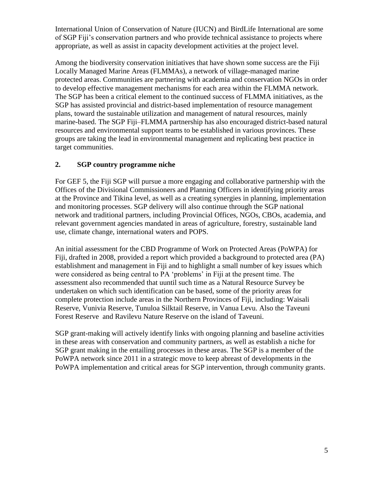International Union of Conservation of Nature (IUCN) and BirdLife International are some of SGP Fiji's conservation partners and who provide technical assistance to projects where appropriate, as well as assist in capacity development activities at the project level.

Among the biodiversity conservation initiatives that have shown some success are the Fiji Locally Managed Marine Areas (FLMMAs), a network of village-managed marine protected areas. Communities are partnering with academia and conservation NGOs in order to develop effective management mechanisms for each area within the FLMMA network. The SGP has been a critical element to the continued success of FLMMA initiatives, as the SGP has assisted provincial and district-based implementation of resource management plans, toward the sustainable utilization and management of natural resources, mainly marine-based. The SGP Fiji–FLMMA partnership has also encouraged district-based natural resources and environmental support teams to be established in various provinces. These groups are taking the lead in environmental management and replicating best practice in target communities.

## **2. SGP country programme niche**

For GEF 5, the Fiji SGP will pursue a more engaging and collaborative partnership with the Offices of the Divisional Commissioners and Planning Officers in identifying priority areas at the Province and Tikina level, as well as a creating synergies in planning, implementation and monitoring processes. SGP delivery will also continue through the SGP national network and traditional partners, including Provincial Offices, NGOs, CBOs, academia, and relevant government agencies mandated in areas of agriculture, forestry, sustainable land use, climate change, international waters and POPS.

An initial assessment for the CBD Programme of Work on Protected Areas (PoWPA) for Fiji, drafted in 2008, provided a report which provided a background to protected area (PA) establishment and management in Fiji and to highlight a small number of key issues which were considered as being central to PA 'problems' in Fiji at the present time. The assessment also recommended that uuntil such time as a Natural Resource Survey be undertaken on which such identification can be based, some of the priority areas for complete protection include areas in the Northern Provinces of Fiji, including: Waisali Reserve, Vunivia Reserve, Tunuloa Silktail Reserve, in Vanua Levu. Also the Taveuni Forest Reserve and Ravilevu Nature Reserve on the island of Taveuni.

SGP grant-making will actively identify links with ongoing planning and baseline activities in these areas with conservation and community partners, as well as establish a niche for SGP grant making in the entailing processes in these areas. The SGP is a member of the PoWPA network since 2011 in a strategic move to keep abreast of developments in the PoWPA implementation and critical areas for SGP intervention, through community grants.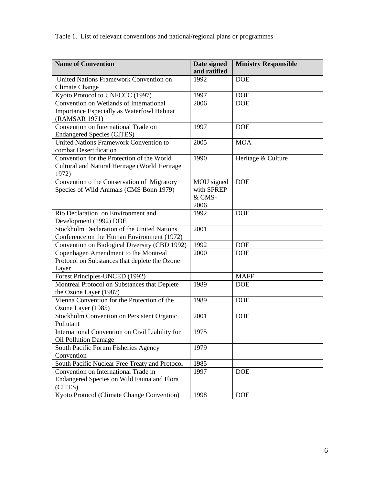Table 1. List of relevant conventions and national/regional plans or programmes

| <b>Name of Convention</b>                                                                              | Date signed<br>and ratified                | <b>Ministry Responsible</b> |
|--------------------------------------------------------------------------------------------------------|--------------------------------------------|-----------------------------|
| United Nations Framework Convention on<br><b>Climate Change</b>                                        | 1992                                       | <b>DOE</b>                  |
| Kyoto Protocol to UNFCCC (1997)                                                                        | 1997                                       | <b>DOE</b>                  |
| Convention on Wetlands of International<br>Importance Especially as Waterfowl Habitat<br>(RAMSAR 1971) | 2006                                       | <b>DOE</b>                  |
| Convention on International Trade on<br><b>Endangered Species (CITES)</b>                              | 1997                                       | <b>DOE</b>                  |
| <b>United Nations Framework Convention to</b><br>combat Desertification                                | 2005                                       | <b>MOA</b>                  |
| Convention for the Protection of the World<br>Cultural and Natural Heritage (World Heritage<br>1972)   | 1990                                       | Heritage & Culture          |
| Convention o the Conservation of Migratory<br>Species of Wild Animals (CMS Bonn 1979)                  | MOU signed<br>with SPREP<br>& CMS-<br>2006 | <b>DOE</b>                  |
| Rio Declaration on Environment and<br>Development (1992) DOE                                           | 1992                                       | <b>DOE</b>                  |
| <b>Stockholm Declaration of the United Nations</b><br>Conference on the Human Environment (1972)       | 2001                                       |                             |
| Convention on Biological Diversity (CBD 1992)                                                          | 1992                                       | <b>DOE</b>                  |
| Copenhagen Amendment to the Montreal<br>Protocol on Substances that deplete the Ozone<br>Layer         | 2000                                       | <b>DOE</b>                  |
| Forest Principles-UNCED (1992)                                                                         |                                            | <b>MAFF</b>                 |
| Montreal Protocol on Substances that Deplete<br>the Ozone Layer (1987)                                 | 1989                                       | <b>DOE</b>                  |
| Vienna Convention for the Protection of the<br>Ozone Layer (1985)                                      | 1989                                       | <b>DOE</b>                  |
| Stockholm Convention on Persistent Organic<br>Pollutant                                                | 2001                                       | <b>DOE</b>                  |
| International Convention on Civil Liability for<br><b>Oil Pollution Damage</b>                         | 1975                                       |                             |
| South Pacific Forum Fisheries Agency<br>Convention                                                     | 1979                                       |                             |
| South Pacific Nuclear Free Treaty and Protocol                                                         | 1985                                       |                             |
| Convention on International Trade in<br>Endangered Species on Wild Fauna and Flora<br>(CITES)          | 1997                                       | <b>DOE</b>                  |
| Kyoto Protocol (Climate Change Convention)                                                             | 1998                                       | <b>DOE</b>                  |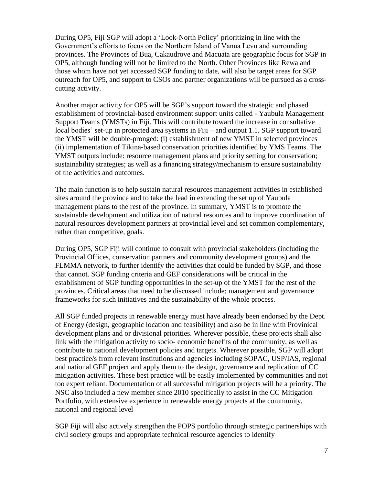During OP5, Fiji SGP will adopt a 'Look-North Policy' prioritizing in line with the Government's efforts to focus on the Northern Island of Vanua Levu and surrounding provinces. The Provinces of Bua, Cakaudrove and Macuata are geographic focus for SGP in OP5, although funding will not be limited to the North. Other Provinces like Rewa and those whom have not yet accessed SGP funding to date, will also be target areas for SGP outreach for OP5, and support to CSOs and partner organizations will be pursued as a crosscutting activity.

Another major activity for OP5 will be SGP's support toward the strategic and phased establishment of provincial-based environment support units called - Yaubula Management Support Teams (YMSTs) in Fiji. This will contribute toward the increase in consultative local bodies' set-up in protected area systems in Fiji – and output 1.1. SGP support toward the YMST will be double-pronged: (i) establishment of new YMST in selected provinces (ii) implementation of Tikina-based conservation priorities identified by YMS Teams. The YMST outputs include: resource management plans and priority setting for conservation; sustainability strategies; as well as a financing strategy/mechanism to ensure sustainability of the activities and outcomes.

The main function is to help sustain natural resources management activities in established sites around the province and to take the lead in extending the set up of Yaubula management plans to the rest of the province. In summary, YMST is to promote the sustainable development and utilization of natural resources and to improve coordination of natural resources development partners at provincial level and set common complementary, rather than competitive, goals.

During OP5, SGP Fiji will continue to consult with provincial stakeholders (including the Provincial Offices, conservation partners and community development groups) and the FLMMA network, to further identify the activities that could be funded by SGP, and those that cannot. SGP funding criteria and GEF considerations will be critical in the establishment of SGP funding opportunities in the set-up of the YMST for the rest of the provinces. Critical areas that need to be discussed include; management and governance frameworks for such initiatives and the sustainability of the whole process.

All SGP funded projects in renewable energy must have already been endorsed by the Dept. of Energy (design, geographic location and feasibility) and also be in line with Provinical development plans and or divisional priorities. Wherever possible, these projects shall also link with the mitigation activity to socio- economic benefits of the community, as well as contribute to national development policies and targets. Wherever possible, SGP will adopt best practice/s from relevant institutions and agencies including SOPAC, USP/IAS, regional and national GEF project and apply them to the design, governance and replication of CC mitigation activities. These best practice will be easily implemented by communities and not too expert reliant. Documentation of all successful mitigation projects will be a priority. The NSC also included a new member since 2010 specifically to assist in the CC Mitigation Portfolio, with extensive experience in renewable energy projects at the community, national and regional level

SGP Fiji will also actively strengthen the POPS portfolio through strategic partnerships with civil society groups and appropriate technical resource agencies to identify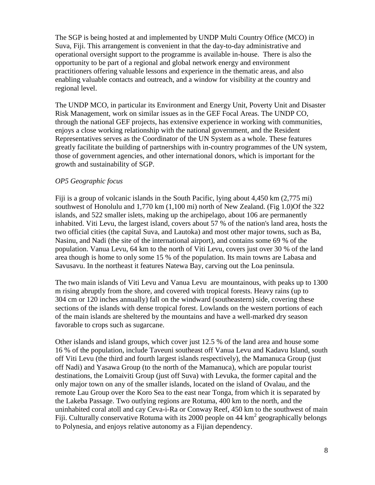The SGP is being hosted at and implemented by UNDP Multi Country Office (MCO) in Suva, Fiji. This arrangement is convenient in that the day-to-day administrative and operational oversight support to the programme is available in-house. There is also the opportunity to be part of a regional and global network energy and environment practitioners offering valuable lessons and experience in the thematic areas, and also enabling valuable contacts and outreach, and a window for visibility at the country and regional level.

The UNDP MCO, in particular its Environment and Energy Unit, Poverty Unit and Disaster Risk Management, work on similar issues as in the GEF Focal Areas. The UNDP CO, through the national GEF projects, has extensive experience in working with communities, enjoys a close working relationship with the national government, and the Resident Representatives serves as the Coordinator of the UN System as a whole. These features greatly facilitate the building of partnerships with in-country programmes of the UN system, those of government agencies, and other international donors, which is important for the growth and sustainability of SGP.

#### *OP5 Geographic focus*

Fiji is a group of volcanic islands in the South [Pacific,](http://en.wikipedia.org/wiki/Pacific_Ocean) lying about 4,450 km (2,775 mi) southwest of Honolulu and 1,770 km (1,100 mi) north of [New Zealand.](http://en.wikipedia.org/wiki/New_Zealand) (Fig 1.0)Of the 322 islands, and 522 smaller islets, making up the archipelago, about 106 are permanently inhabited. [Viti Levu,](http://en.wikipedia.org/wiki/Viti_Levu) the largest island, covers about 57 % of the nation's land area, hosts the two official [cities](http://en.wikipedia.org/wiki/Local_government_of_Fiji) (the [capital](http://en.wikipedia.org/wiki/Capital_(political)) [Suva,](http://en.wikipedia.org/wiki/Suva) and [Lautoka\)](http://en.wikipedia.org/wiki/Lautoka) and most other major towns, such as [Ba,](http://en.wikipedia.org/wiki/Ba_Town) [Nasinu,](http://en.wikipedia.org/wiki/Nasinu) and [Nadi](http://en.wikipedia.org/wiki/Nadi) (the site of the international airport), and contains some 69 % of the population. [Vanua Levu,](http://en.wikipedia.org/wiki/Vanua_Levu) 64 km to the north of Viti Levu, covers just over 30 % of the land area though is home to only some 15 % of the population. Its main towns are [Labasa](http://en.wikipedia.org/wiki/Labasa) and [Savusavu.](http://en.wikipedia.org/wiki/Savusavu) In the northeast it features [Natewa Bay,](http://en.wikipedia.org/w/index.php?title=Natewa_Bay&action=edit&redlink=1) carving out the [Loa](http://en.wikipedia.org/wiki/Loa) peninsula.

The two main islands of Viti Levu and Vanua Levu are mountainous, with peaks up to 1300 m rising abruptly from the shore, and covered with [tropical forests.](http://en.wikipedia.org/wiki/Tropical_forest) Heavy rains (up to 304 cm or 120 inches annually) fall on the windward (southeastern) side, covering these sections of the islands with dense tropical forest. [Lowlands](http://en.wikipedia.org/wiki/Lowland) on the western portions of each of the main islands are sheltered by the mountains and have a well-marked [dry season](http://en.wikipedia.org/wiki/Dry_season) favorable to crops such as [sugarcane.](http://en.wikipedia.org/wiki/Sugarcane)

Other islands and island groups, which cover just 12.5 % of the land area and house some 16 % of the population, include [Taveuni](http://en.wikipedia.org/wiki/Taveuni) southeast off [Vanua Levu](http://en.wikipedia.org/wiki/Vanua_Levu) and [Kadavu Island,](http://en.wikipedia.org/wiki/Kadavu_Island) south off [Viti Levu](http://en.wikipedia.org/wiki/Viti_Levu) (the third and fourth largest islands respectively), the [Mamanuca Group](http://en.wikipedia.org/wiki/Mamanuca_Islands) (just off [Nadi\)](http://en.wikipedia.org/wiki/Nadi) and [Yasawa Group](http://en.wikipedia.org/wiki/Yasawa_Islands) (to the north of the Mamanuca), which are popular [tourist](http://en.wikipedia.org/wiki/Tourist) destinations, the [Lomaiviti Group](http://en.wikipedia.org/wiki/Lomaiviti) (just off Suva) with [Levuka,](http://en.wikipedia.org/wiki/Levuka) the former capital and the only major town on any of the smaller islands, located on the island of [Ovalau,](http://en.wikipedia.org/wiki/Ovalau_(Fiji)) and the remote [Lau Group](http://en.wikipedia.org/wiki/Lau_Islands) over the [Koro Sea](http://en.wikipedia.org/wiki/Koro_Sea) to the east near Tonga, from which it is separated by the [Lakeba Passage.](http://en.wikipedia.org/w/index.php?title=Lakeba_Passage&action=edit&redlink=1) Two outlying regions are [Rotuma,](http://en.wikipedia.org/wiki/Rotuma) 400 km to the north, and the uninhabited coral atoll and [cay](http://en.wikipedia.org/wiki/Cay) [Ceva-i-Ra](http://en.wikipedia.org/wiki/Ceva-i-Ra) or Conway Reef, 450 km to the southwest of main Fiji. Culturally conservative Rotuma with its 2000 people on 44  $\text{km}^2$  [geographically](http://en.wikipedia.org/wiki/Geography) belongs to [Polynesia,](http://en.wikipedia.org/wiki/Polynesia) and enjoys relative autonomy as a Fijian [dependency.](http://en.wikipedia.org/wiki/Dependent_territory)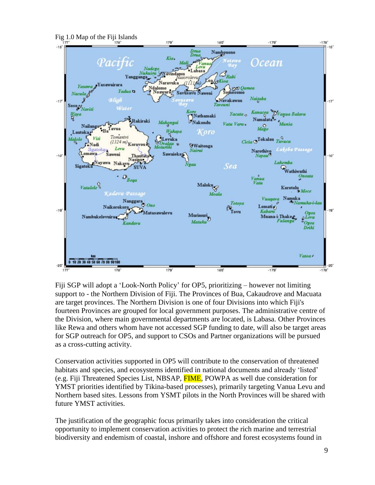

Fiji SGP will adopt a 'Look-North Policy' for OP5, prioritizing – however not limiting support to - the Northern Division of Fiji. The Provinces of Bua, Cakaudrove and Macuata are target provinces. The Northern Division is one of four Divisions into which Fiji's fourteen Provinces are grouped for local government purposes. The administrative centre of the Division, where main governmental departments are located, is Labasa. Other Provinces like Rewa and others whom have not accessed SGP funding to date, will also be target areas for SGP outreach for OP5, and support to CSOs and Partner organizations will be pursued as a cross-cutting activity.

Conservation activities supported in OP5 will contribute to the conservation of threatened habitats and species, and ecosystems identified in national documents and already 'listed' (e.g. Fiji Threatened Species List, NBSAP, FIME, POWPA as well due consideration for YMST priorities identified by Tikina-based processes), primarily targeting Vanua Levu and Northern based sites. Lessons from YSMT pilots in the North Provinces will be shared with future YMST activities.

The justification of the geographic focus primarily takes into consideration the critical opportunity to implement conservation activities to protect the rich marine and terrestrial biodiversity and endemism of coastal, inshore and offshore and forest ecosystems found in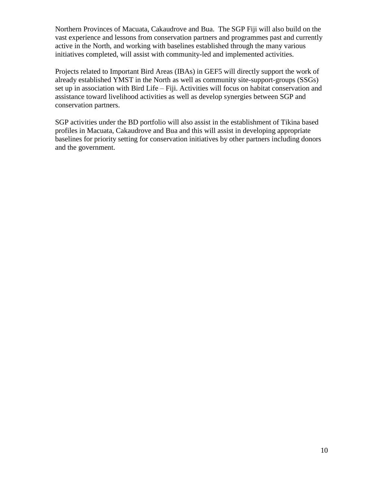Northern Provinces of Macuata, Cakaudrove and Bua. The SGP Fiji will also build on the vast experience and lessons from conservation partners and programmes past and currently active in the North, and working with baselines established through the many various initiatives completed, will assist with community-led and implemented activities.

Projects related to Important Bird Areas (IBAs) in GEF5 will directly support the work of already established YMST in the North as well as community site-support-groups (SSGs) set up in association with Bird Life – Fiji. Activities will focus on habitat conservation and assistance toward livelihood activities as well as develop synergies between SGP and conservation partners.

SGP activities under the BD portfolio will also assist in the establishment of Tikina based profiles in Macuata, Cakaudrove and Bua and this will assist in developing appropriate baselines for priority setting for conservation initiatives by other partners including donors and the government.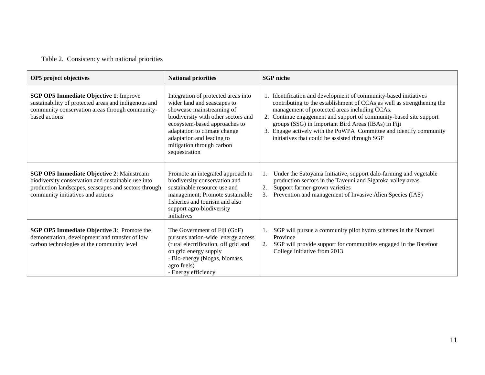# Table 2. Consistency with national priorities

| OP5 project objectives                                                                                                                                                                              | <b>National priorities</b>                                                                                                                                                                                                                                                         | <b>SGP</b> niche                                                                                                                                                                                                                                                                                                                                                                                                                                    |
|-----------------------------------------------------------------------------------------------------------------------------------------------------------------------------------------------------|------------------------------------------------------------------------------------------------------------------------------------------------------------------------------------------------------------------------------------------------------------------------------------|-----------------------------------------------------------------------------------------------------------------------------------------------------------------------------------------------------------------------------------------------------------------------------------------------------------------------------------------------------------------------------------------------------------------------------------------------------|
| <b>SGP OP5 Immediate Objective 1: Improve</b><br>sustainability of protected areas and indigenous and<br>community conservation areas through community-<br>based actions                           | Integration of protected areas into<br>wider land and seascapes to<br>showcase mainstreaming of<br>biodiversity with other sectors and<br>ecosystem-based approaches to<br>adaptation to climate change<br>adaptation and leading to<br>mitigation through carbon<br>sequestration | 1. Identification and development of community-based initiatives<br>contributing to the establishment of CCAs as well as strengthening the<br>management of protected areas including CCAs.<br>Continue engagement and support of community-based site support<br>2.<br>groups (SSG) in Important Bird Areas (IBAs) in Fiji<br>3. Engage actively with the PoWPA Committee and identify community<br>initiatives that could be assisted through SGP |
| <b>SGP OP5 Immediate Objective 2: Mainstream</b><br>biodiversity conservation and sustainable use into<br>production landscapes, seascapes and sectors through<br>community initiatives and actions | Promote an integrated approach to<br>biodiversity conservation and<br>sustainable resource use and<br>management; Promote sustainable<br>fisheries and tourism and also<br>support agro-biodiversity<br>initiatives                                                                | Under the Satoyama Initiative, support dalo-farming and vegetable<br>production sectors in the Taveuni and Sigatoka valley areas<br>2.<br>Support farmer-grown varieties<br>Prevention and management of Invasive Alien Species (IAS)<br>3.                                                                                                                                                                                                         |
| <b>SGP OP5 Immediate Objective 3: Promote the</b><br>demonstration, development and transfer of low<br>carbon technologies at the community level                                                   | The Government of Fiji (GoF)<br>pursues nation-wide energy access<br>(rural electrification, off grid and<br>on grid energy supply<br>- Bio-energy (biogas, biomass,<br>agro fuels)<br>- Energy efficiency                                                                         | SGP will pursue a community pilot hydro schemes in the Namosi<br>Province<br>SGP will provide support for communities engaged in the Barefoot<br>2.<br>College initiative from 2013                                                                                                                                                                                                                                                                 |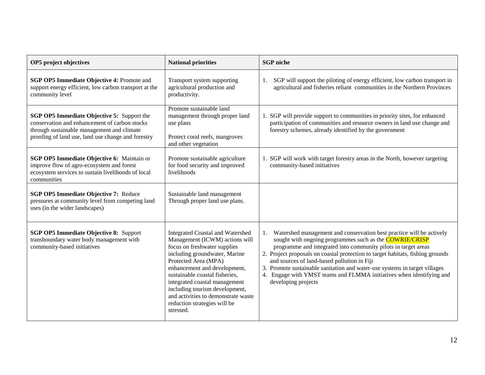| OP5 project objectives                                                                                                                                                                                 | <b>National priorities</b>                                                                                                                                                                                                                                                                                                                                                                  | <b>SGP</b> niche                                                                                                                                                                                                                                                                                                                                                                                                                                                                                                             |
|--------------------------------------------------------------------------------------------------------------------------------------------------------------------------------------------------------|---------------------------------------------------------------------------------------------------------------------------------------------------------------------------------------------------------------------------------------------------------------------------------------------------------------------------------------------------------------------------------------------|------------------------------------------------------------------------------------------------------------------------------------------------------------------------------------------------------------------------------------------------------------------------------------------------------------------------------------------------------------------------------------------------------------------------------------------------------------------------------------------------------------------------------|
| SGP OP5 Immediate Objective 4: Promote and<br>support energy efficient, low carbon transport at the<br>community level                                                                                 | Transport system supporting<br>agricultural production and<br>productivity.                                                                                                                                                                                                                                                                                                                 | SGP will support the piloting of energy efficient, low carbon transport in<br>1.<br>agricultural and fisheries reliant communities in the Northern Provinces                                                                                                                                                                                                                                                                                                                                                                 |
| <b>SGP OP5 Immediate Objective 5: Support the</b><br>conservation and enhancement of carbon stocks<br>through sustainable management and climate<br>proofing of land use, land use change and forestry | Promote sustainable land<br>management through proper land<br>use plans<br>Protect coral reefs, mangroves<br>and other vegetation                                                                                                                                                                                                                                                           | 1. SGP will provide support to communities in priority sites, for enhanced<br>participation of communities and resource owners in land use change and<br>forestry schemes, already identified by the government                                                                                                                                                                                                                                                                                                              |
| SGP OP5 Immediate Objective 6: Maintain or<br>improve flow of agro-ecosystem and forest<br>ecosystem services to sustain livelihoods of local<br>communities                                           | Promote sustainable agriculture<br>for food security and improved<br>livelihoods                                                                                                                                                                                                                                                                                                            | 1. SGP will work with target forestry areas in the North, however targeting<br>community-based initiatives                                                                                                                                                                                                                                                                                                                                                                                                                   |
| SGP OP5 Immediate Objective 7: Reduce<br>pressures at community level from competing land<br>uses (in the wider landscapes)                                                                            | Sustainable land management<br>Through proper land use plans.                                                                                                                                                                                                                                                                                                                               |                                                                                                                                                                                                                                                                                                                                                                                                                                                                                                                              |
| <b>SGP OP5 Immediate Objective 8: Support</b><br>transboundary water body management with<br>community-based initiatives                                                                               | <b>Integrated Coastal and Watershed</b><br>Management (ICWM) actions will<br>focus on freshwater supplies<br>including groundwater, Marine<br>Protected Area (MPA)<br>enhancement and development,<br>sustainable coastal fisheries,<br>integrated coastal management<br>including tourism development,<br>and activities to demonstrate waste<br>reduction strategies will be<br>stressed. | Watershed management and conservation best practice will be actively<br>1.<br>sought with ongoing programmes such as the <b>COWRIE/CRISP</b><br>programme and integrated into community pilots in target areas<br>2. Project proposals on coastal protection to target habitats, fishing grounds<br>and sources of land-based pollution in Fiji<br>3. Promote sustainable sanitation and water-use systems in target villages<br>4. Engage with YMST teams and FLMMA initiatives when identifying and<br>developing projects |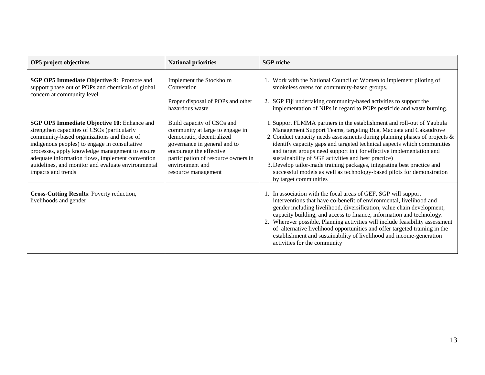| OP5 project objectives                                                                                                                                                                                                                                                                                                                                                              | <b>National priorities</b>                                                                                                                                                                                                             | <b>SGP</b> niche                                                                                                                                                                                                                                                                                                                                                                                                                                                                                                                                                                                               |
|-------------------------------------------------------------------------------------------------------------------------------------------------------------------------------------------------------------------------------------------------------------------------------------------------------------------------------------------------------------------------------------|----------------------------------------------------------------------------------------------------------------------------------------------------------------------------------------------------------------------------------------|----------------------------------------------------------------------------------------------------------------------------------------------------------------------------------------------------------------------------------------------------------------------------------------------------------------------------------------------------------------------------------------------------------------------------------------------------------------------------------------------------------------------------------------------------------------------------------------------------------------|
| <b>SGP OP5 Immediate Objective 9: Promote and</b><br>support phase out of POPs and chemicals of global<br>concern at community level                                                                                                                                                                                                                                                | Implement the Stockholm<br>Convention<br>Proper disposal of POPs and other<br>hazardous waste                                                                                                                                          | 1. Work with the National Council of Women to implement piloting of<br>smokeless ovens for community-based groups.<br>2. SGP Fiji undertaking community-based activities to support the<br>implementation of NIPs in regard to POPs pesticide and waste burning.                                                                                                                                                                                                                                                                                                                                               |
| <b>SGP OP5 Immediate Objective 10: Enhance and</b><br>strengthen capacities of CSOs (particularly<br>community-based organizations and those of<br>indigenous peoples) to engage in consultative<br>processes, apply knowledge management to ensure<br>adequate information flows, implement convention<br>guidelines, and monitor and evaluate environmental<br>impacts and trends | Build capacity of CSOs and<br>community at large to engage in<br>democratic, decentralized<br>governance in general and to<br>encourage the effective<br>participation of resource owners in<br>environment and<br>resource management | 1. Support FLMMA partners in the establishment and roll-out of Yaubula<br>Management Support Teams, targeting Bua, Macuata and Cakaudrove<br>2. Conduct capacity needs assessments during planning phases of projects &<br>identify capacity gaps and targeted technical aspects which communities<br>and target groups need support in (for effective implementation and<br>sustainability of SGP activities and best practice)<br>3. Develop tailor-made training packages, integrating best practice and<br>successful models as well as technology-based pilots for demonstration<br>by target communities |
| Cross-Cutting Results: Poverty reduction,<br>livelihoods and gender                                                                                                                                                                                                                                                                                                                 |                                                                                                                                                                                                                                        | 1. In association with the focal areas of GEF, SGP will support<br>interventions that have co-benefit of environmental, livelihood and<br>gender including livelihood, diversification, value chain development,<br>capacity building, and access to finance, information and technology.<br>2. Wherever possible, Planning activities will include feasibility assessment<br>of alternative livelihood opportunities and offer targeted training in the<br>establishment and sustainability of livelihood and income-generation<br>activities for the community                                               |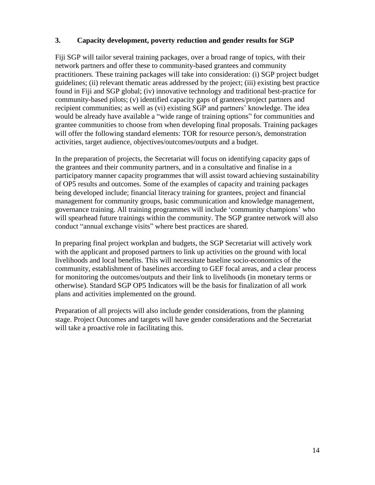#### **3. Capacity development, poverty reduction and gender results for SGP**

Fiji SGP will tailor several training packages, over a broad range of topics, with their network partners and offer these to community-based grantees and community practitioners. These training packages will take into consideration: (i) SGP project budget guidelines; (ii) relevant thematic areas addressed by the project; (iii) existing best practice found in Fiji and SGP global; (iv) innovative technology and traditional best-practice for community-based pilots; (v) identified capacity gaps of grantees/project partners and recipient communities; as well as (vi) existing SGP and partners' knowledge. The idea would be already have available a "wide range of training options" for communities and grantee communities to choose from when developing final proposals. Training packages will offer the following standard elements: TOR for resource person/s, demonstration activities, target audience, objectives/outcomes/outputs and a budget.

In the preparation of projects, the Secretariat will focus on identifying capacity gaps of the grantees and their community partners, and in a consultative and finalise in a participatory manner capacity programmes that will assist toward achieving sustainability of OP5 results and outcomes. Some of the examples of capacity and training packages being developed include; financial literacy training for grantees, project and financial management for community groups, basic communication and knowledge management, governance training. All training programmes will include 'community champions' who will spearhead future trainings within the community. The SGP grantee network will also conduct "annual exchange visits" where best practices are shared.

In preparing final project workplan and budgets, the SGP Secretariat will actively work with the applicant and proposed partners to link up activities on the ground with local livelihoods and local benefits. This will necessitate baseline socio-economics of the community, establishment of baselines according to GEF focal areas, and a clear process for monitoring the outcomes/outputs and their link to livelihoods (in monetary terms or otherwise). Standard SGP OP5 Indicators will be the basis for finalization of all work plans and activities implemented on the ground.

Preparation of all projects will also include gender considerations, from the planning stage. Project Outcomes and targets will have gender considerations and the Secretariat will take a proactive role in facilitating this.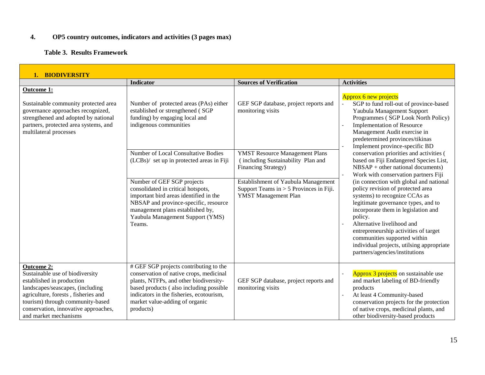#### **4. OP5 country outcomes, indicators and activities (3 pages max)**

#### **Table 3. Results Framework**

| 1. BIODIVERSITY                                                                                                                                                                                                                                                   |                                                                                                                                                                                                                                                                                                                                                                                                                                                                     |                                                                                                                                                                                                                                                                              |                                                                                                                                                                                                                                                                                                                                                                                                                                                                                                                                                                                                                                                                                                                                                                                                           |
|-------------------------------------------------------------------------------------------------------------------------------------------------------------------------------------------------------------------------------------------------------------------|---------------------------------------------------------------------------------------------------------------------------------------------------------------------------------------------------------------------------------------------------------------------------------------------------------------------------------------------------------------------------------------------------------------------------------------------------------------------|------------------------------------------------------------------------------------------------------------------------------------------------------------------------------------------------------------------------------------------------------------------------------|-----------------------------------------------------------------------------------------------------------------------------------------------------------------------------------------------------------------------------------------------------------------------------------------------------------------------------------------------------------------------------------------------------------------------------------------------------------------------------------------------------------------------------------------------------------------------------------------------------------------------------------------------------------------------------------------------------------------------------------------------------------------------------------------------------------|
|                                                                                                                                                                                                                                                                   | <b>Indicator</b>                                                                                                                                                                                                                                                                                                                                                                                                                                                    | <b>Sources of Verification</b>                                                                                                                                                                                                                                               | <b>Activities</b>                                                                                                                                                                                                                                                                                                                                                                                                                                                                                                                                                                                                                                                                                                                                                                                         |
| Outcome 1:<br>Sustainable community protected area<br>governance approaches recognized,<br>strengthened and adopted by national<br>partners, protected area systems, and<br>multilateral processes                                                                | Number of protected areas (PAs) either<br>established or strengthened (SGP<br>funding) by engaging local and<br>indigenous communities<br>Number of Local Consultative Bodies<br>(LCBs)/ set up in protected areas in Fiji<br>Number of GEF SGP projects<br>consolidated in critical hotspots,<br>important bird areas identified in the<br>NBSAP and province-specific, resource<br>management plans established by,<br>Yaubula Management Support (YMS)<br>Teams. | GEF SGP database, project reports and<br>monitoring visits<br><b>YMST Resource Management Plans</b><br>(including Sustainability Plan and<br>Financing Strategy)<br>Establishment of Yaubula Management<br>Support Teams in $> 5$ Provinces in Fiji.<br>YMST Management Plan | Approx 6 new projects<br>SGP to fund roll-out of province-based<br>Yaubula Management Support<br>Programmes (SGP Look North Policy)<br>Implementation of Resource<br>Management Audit exercise in<br>predetermined provinces/tikinas<br>Implement province-specific BD<br>conservation priorities and activities (<br>based on Fiji Endangered Species List,<br>$NBSAP + other$ national documents)<br>Work with conservation partners Fiji<br>(in connection with global and national<br>policy revision of protected area<br>systems) to recognize CCAs as<br>legitimate governance types, and to<br>incorporate them in legislation and<br>policy.<br>Alternative livelihood and<br>entrepreneurship activities of target<br>communities supported within<br>individual projects, utilsing appropriate |
| <b>Outcome 2:</b><br>Sustainable use of biodiversity<br>established in production<br>landscapes/seascapes, (including<br>agriculture, forests, fisheries and<br>tourism) through community-based<br>conservation, innovative approaches,<br>and market mechanisms | # GEF SGP projects contributing to the<br>conservation of native crops, medicinal<br>plants, NTFPs, and other biodiversity-<br>based products (also including possible<br>indicators in the fisheries, ecotourism,<br>market value-adding of organic<br>products)                                                                                                                                                                                                   | GEF SGP database, project reports and<br>monitoring visits                                                                                                                                                                                                                   | partners/agencies/institutions<br><b>Approx 3 projects</b> on sustainable use<br>and market labeling of BD-friendly<br>products<br>At least 4 Community-based<br>conservation projects for the protection<br>of native crops, medicinal plants, and<br>other biodiversity-based products                                                                                                                                                                                                                                                                                                                                                                                                                                                                                                                  |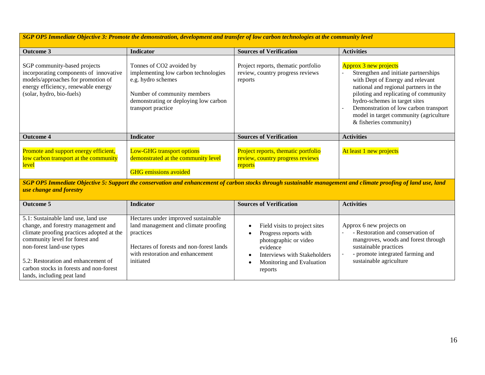*SGP OP5 Immediate Objective 3: Promote the demonstration, development and transfer of low carbon technologies at the community level*

| <b>Outcome 3</b>                                                                                                                                                                 | <b>Indicator</b>                                                                                                                                                                     | <b>Sources of Verification</b>                                                                  | <b>Activities</b>                                                                                                                                                                                                                                                                                                                        |
|----------------------------------------------------------------------------------------------------------------------------------------------------------------------------------|--------------------------------------------------------------------------------------------------------------------------------------------------------------------------------------|-------------------------------------------------------------------------------------------------|------------------------------------------------------------------------------------------------------------------------------------------------------------------------------------------------------------------------------------------------------------------------------------------------------------------------------------------|
| SGP community-based projects<br>incorporating components of innovative<br>models/approaches for promotion of<br>energy efficiency, renewable energy<br>(solar, hydro, bio-fuels) | Tonnes of CO2 avoided by<br>implementing low carbon technologies<br>e.g. hydro schemes<br>Number of community members<br>demonstrating or deploying low carbon<br>transport practice | Project reports, thematic portfolio<br>review, country progress reviews<br>reports              | <b>Approx 3 new projects</b><br>Strengthen and initiate partnerships<br>with Dept of Energy and relevant<br>national and regional partners in the<br>piloting and replicating of community<br>hydro-schemes in target sites<br>Demonstration of low carbon transport<br>model in target community (agriculture<br>& fisheries community) |
| <b>Outcome 4</b>                                                                                                                                                                 | <b>Indicator</b>                                                                                                                                                                     | <b>Sources of Verification</b>                                                                  | <b>Activities</b>                                                                                                                                                                                                                                                                                                                        |
| Promote and support energy efficient,<br>low carbon transport at the community<br><u>level</u>                                                                                   | <b>Low-GHG transport options</b><br>demonstrated at the community level<br><b>GHG</b> emissions avoided                                                                              | Project reports, thematic portfolio<br>review, country progress reviews<br><mark>reports</mark> | At least 1 new projects                                                                                                                                                                                                                                                                                                                  |

*SGP OP5 Immediate Objective 5: Support the conservation and enhancement of carbon stocks through sustainable management and climate proofing of land use, land use change and forestry*

| <b>Outcome 5</b>                                                                                                                                                                                                                                                                                       | <b>Indicator</b>                                                                                                                                                                      | <b>Sources of Verification</b>                                                                                                                                      | <b>Activities</b>                                                                                                                                                                            |
|--------------------------------------------------------------------------------------------------------------------------------------------------------------------------------------------------------------------------------------------------------------------------------------------------------|---------------------------------------------------------------------------------------------------------------------------------------------------------------------------------------|---------------------------------------------------------------------------------------------------------------------------------------------------------------------|----------------------------------------------------------------------------------------------------------------------------------------------------------------------------------------------|
| 5.1: Sustainable land use, land use<br>change, and forestry management and<br>climate proofing practices adopted at the<br>community level for forest and<br>non-forest land-use types<br>5.2: Restoration and enhancement of<br>carbon stocks in forests and non-forest<br>lands, including peat land | Hectares under improved sustainable<br>land management and climate proofing<br>practices<br>Hectares of forests and non-forest lands<br>with restoration and enhancement<br>initiated | Field visits to project sites<br>Progress reports with<br>photographic or video<br>evidence<br>Interviews with Stakeholders<br>Monitoring and Evaluation<br>reports | Approx 6 new projects on<br>- Restoration and conservation of<br>mangroves, woods and forest through<br>sustainable practices<br>- promote integrated farming and<br>sustainable agriculture |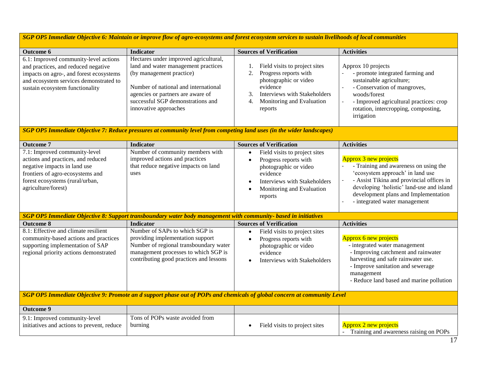*SGP OP5 Immediate Objective 6: Maintain or improve flow of agro‐ecosystems and forest ecosystem services to sustain livelihoods of local communities*

| <b>Outcome 6</b>                                                                                                                                                                                     | Indicator                                                                                                                                                                                                                                           | <b>Sources of Verification</b>                                                                                                                                                               | <b>Activities</b>                                                                                                                                                                                                                                                            |  |
|------------------------------------------------------------------------------------------------------------------------------------------------------------------------------------------------------|-----------------------------------------------------------------------------------------------------------------------------------------------------------------------------------------------------------------------------------------------------|----------------------------------------------------------------------------------------------------------------------------------------------------------------------------------------------|------------------------------------------------------------------------------------------------------------------------------------------------------------------------------------------------------------------------------------------------------------------------------|--|
| 6.1: Improved community-level actions<br>and practices, and reduced negative<br>impacts on agro-, and forest ecosystems<br>and ecosystem services demonstrated to<br>sustain ecosystem functionality | Hectares under improved agricultural,<br>land and water management practices<br>(by management practice)<br>Number of national and international<br>agencies or partners are aware of<br>successful SGP demonstrations and<br>innovative approaches | Field visits to project sites<br>Progress reports with<br>2.<br>photographic or video<br>evidence<br><b>Interviews with Stakeholders</b><br>3.<br>Monitoring and Evaluation<br>4.<br>reports | Approx 10 projects<br>- promote integrated farming and<br>sustainable agriculture;<br>- Conservation of mangroves,<br>woods/forest<br>- Improved agricultural practices: crop<br>rotation, intercropping, composting,<br>irrigation                                          |  |
|                                                                                                                                                                                                      | SGP OP5 Immediate Objective 7: Reduce pressures at community level from competing land uses (in the wider landscapes)                                                                                                                               |                                                                                                                                                                                              |                                                                                                                                                                                                                                                                              |  |
| <b>Outcome 7</b>                                                                                                                                                                                     | <b>Indicator</b>                                                                                                                                                                                                                                    | <b>Sources of Verification</b>                                                                                                                                                               | <b>Activities</b>                                                                                                                                                                                                                                                            |  |
| 7.1: Improved community-level<br>actions and practices, and reduced<br>negative impacts in land use<br>frontiers of agro-ecosystems and<br>forest ecosystems (rural/urban,<br>agriculture/forest)    | Number of community members with<br>improved actions and practices<br>that reduce negative impacts on land<br>uses                                                                                                                                  | Field visits to project sites<br>$\bullet$<br>Progress reports with<br>photographic or video<br>evidence<br><b>Interviews with Stakeholders</b><br>Monitoring and Evaluation<br>reports      | <b>Approx 3 new projects</b><br>- Training and awareness on using the<br>'ecosystem approach' in land use<br>- Assist Tikina and provincial offices in<br>developing 'holistic' land-use and island<br>development plans and Implementation<br>- integrated water management |  |
|                                                                                                                                                                                                      | SGP OP5 Immediate Objective 8: Support transboundary water body management with community-based in initiatives                                                                                                                                      |                                                                                                                                                                                              |                                                                                                                                                                                                                                                                              |  |
| <b>Outcome 8</b>                                                                                                                                                                                     | <b>Indicator</b>                                                                                                                                                                                                                                    | <b>Sources of Verification</b>                                                                                                                                                               | <b>Activities</b>                                                                                                                                                                                                                                                            |  |
| 8.1: Effective and climate resilient<br>community-based actions and practices<br>supporting implementation of SAP<br>regional priority actions demonstrated                                          | Number of SAPs to which SGP is<br>providing implementation support<br>Number of regional transboundary water<br>management processes to which SGP is<br>contributing good practices and lessons                                                     | Field visits to project sites<br>$\bullet$<br>Progress reports with<br>photographic or video<br>evidence<br><b>Interviews with Stakeholders</b>                                              | Approx 6 new projects<br>- integrated water management<br>- Improving catchment and rainwater<br>harvesting and safe rainwater use.<br>- Improve sanitation and sewerage<br>management<br>- Reduce land based and marine pollution                                           |  |
| SGP OP5 Immediate Objective 9: Promote an d support phase out of POPs and chemicals of global concern at community Level                                                                             |                                                                                                                                                                                                                                                     |                                                                                                                                                                                              |                                                                                                                                                                                                                                                                              |  |
| <b>Outcome 9</b>                                                                                                                                                                                     |                                                                                                                                                                                                                                                     |                                                                                                                                                                                              |                                                                                                                                                                                                                                                                              |  |
| 9.1: Improved community-level<br>initiatives and actions to prevent, reduce                                                                                                                          | Tons of POPs waste avoided from<br>burning                                                                                                                                                                                                          | Field visits to project sites<br>$\bullet$                                                                                                                                                   | Approx 2 new projects<br>- Training and awareness raising on POPs                                                                                                                                                                                                            |  |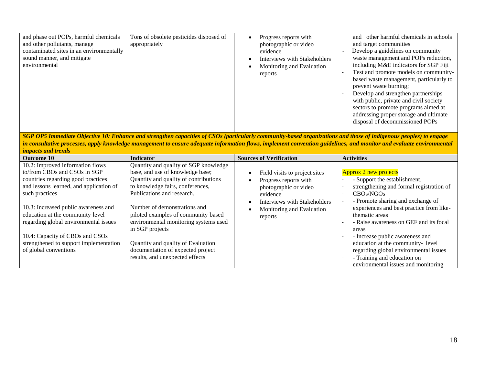| and phase out POPs, harmful chemicals<br>and other pollutants, manage<br>contaminated sites in an environmentally<br>sound manner, and mitigate<br>environmental | Tons of obsolete pesticides disposed of<br>appropriately | Progress reports with<br>photographic or video<br>evidence<br>Interviews with Stakeholders<br>Monitoring and Evaluation<br>reports | other harmful chemicals in schools<br>and<br>and target communities<br>Develop a guidelines on community<br>waste management and POPs reduction,<br>including M&E indicators for SGP Fiji<br>Test and promote models on community-<br>based waste management, particularly to<br>prevent waste burning;<br>Develop and strengthen partnerships<br>with public, private and civil society<br>sectors to promote programs aimed at<br>addressing proper storage and ultimate<br>disposal of decommissioned POPs |
|------------------------------------------------------------------------------------------------------------------------------------------------------------------|----------------------------------------------------------|------------------------------------------------------------------------------------------------------------------------------------|---------------------------------------------------------------------------------------------------------------------------------------------------------------------------------------------------------------------------------------------------------------------------------------------------------------------------------------------------------------------------------------------------------------------------------------------------------------------------------------------------------------|
|------------------------------------------------------------------------------------------------------------------------------------------------------------------|----------------------------------------------------------|------------------------------------------------------------------------------------------------------------------------------------|---------------------------------------------------------------------------------------------------------------------------------------------------------------------------------------------------------------------------------------------------------------------------------------------------------------------------------------------------------------------------------------------------------------------------------------------------------------------------------------------------------------|

*SGP OP5 Immediate Objective 10: Enhance and strengthen capacities of CSOs (particularly community‐based organizations and those of indigenous peoples) to engage in consultative processes, apply knowledge management to ensure adequate information flows, implement convention guidelines, and monitor and evaluate environmental impacts and trends*

| <b>Outcome 10</b>                                                                                                                                                                                                                                                                                                                                                                              | <b>Indicator</b>                                                                                                                                                                                                                                                                                                                                                                                                                      | <b>Sources of Verification</b>                                                                                                                                             | <b>Activities</b>                                                                                                                                                                                                                                                                                                                                                                                                                                          |
|------------------------------------------------------------------------------------------------------------------------------------------------------------------------------------------------------------------------------------------------------------------------------------------------------------------------------------------------------------------------------------------------|---------------------------------------------------------------------------------------------------------------------------------------------------------------------------------------------------------------------------------------------------------------------------------------------------------------------------------------------------------------------------------------------------------------------------------------|----------------------------------------------------------------------------------------------------------------------------------------------------------------------------|------------------------------------------------------------------------------------------------------------------------------------------------------------------------------------------------------------------------------------------------------------------------------------------------------------------------------------------------------------------------------------------------------------------------------------------------------------|
| 10.2: Improved information flows<br>to/from CBOs and CSOs in SGP<br>countries regarding good practices<br>and lessons learned, and application of<br>such practices<br>10.3: Increased public awareness and<br>education at the community-level<br>regarding global environmental issues<br>10.4: Capacity of CBOs and CSOs<br>strengthened to support implementation<br>of global conventions | Quantity and quality of SGP knowledge<br>base, and use of knowledge base;<br>Quantity and quality of contributions<br>to knowledge fairs, conferences,<br>Publications and research.<br>Number of demonstrations and<br>piloted examples of community-based<br>environmental monitoring systems used<br>in SGP projects<br>Quantity and quality of Evaluation<br>documentation of expected project<br>results, and unexpected effects | Field visits to project sites<br>Progress reports with<br>photographic or video<br>evidence<br><b>Interviews with Stakeholders</b><br>Monitoring and Evaluation<br>reports | Approx 2 new projects<br>- Support the establishment,<br>strengthening and formal registration of<br>CBOs/NGOs<br>- Promote sharing and exchange of<br>experiences and best practice from like-<br>thematic areas<br>- Raise awareness on GEF and its focal<br>areas<br>- Increase public awareness and<br>education at the community-level<br>regarding global environmental issues<br>- Training and education on<br>environmental issues and monitoring |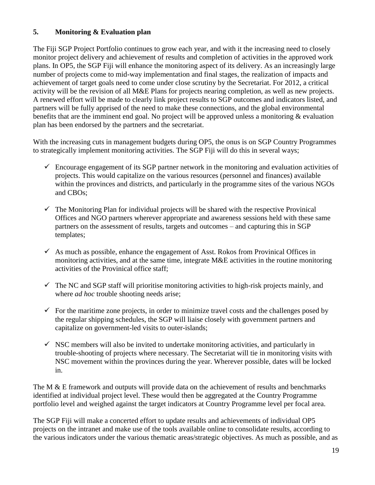# **5. Monitoring & Evaluation plan**

The Fiji SGP Project Portfolio continues to grow each year, and with it the increasing need to closely monitor project delivery and achievement of results and completion of activities in the approved work plans. In OP5, the SGP Fiji will enhance the monitoring aspect of its delivery. As an increasingly large number of projects come to mid-way implementation and final stages, the realization of impacts and achievement of target goals need to come under close scrutiny by the Secretariat. For 2012, a critical activity will be the revision of all M&E Plans for projects nearing completion, as well as new projects. A renewed effort will be made to clearly link project results to SGP outcomes and indicators listed, and partners will be fully apprised of the need to make these connections, and the global environmental benefits that are the imminent end goal. No project will be approved unless a monitoring & evaluation plan has been endorsed by the partners and the secretariat.

With the increasing cuts in management budgets during OP5, the onus is on SGP Country Programmes to strategically implement monitoring activities. The SGP Fiji will do this in several ways;

- $\checkmark$  Encourage engagement of its SGP partner network in the monitoring and evaluation activities of projects. This would capitalize on the various resources (personnel and finances) available within the provinces and districts, and particularly in the programme sites of the various NGOs and CBOs;
- $\checkmark$  The Monitoring Plan for individual projects will be shared with the respective Provinical Offices and NGO partners wherever appropriate and awareness sessions held with these same partners on the assessment of results, targets and outcomes – and capturing this in SGP templates;
- $\checkmark$  As much as possible, enhance the engagement of Asst. Rokos from Provinical Offices in monitoring activities, and at the same time, integrate M&E activities in the routine monitoring activities of the Provinical office staff;
- $\checkmark$  The NC and SGP staff will prioritise monitoring activities to high-risk projects mainly, and where *ad hoc* trouble shooting needs arise;
- $\checkmark$  For the maritime zone projects, in order to minimize travel costs and the challenges posed by the regular shipping schedules, the SGP will liaise closely with government partners and capitalize on government-led visits to outer-islands;
- $\checkmark$  NSC members will also be invited to undertake monitoring activities, and particularly in trouble-shooting of projects where necessary. The Secretariat will tie in monitoring visits with NSC movement within the provinces during the year. Wherever possible, dates will be locked in.

The M & E framework and outputs will provide data on the achievement of results and benchmarks identified at individual project level. These would then be aggregated at the Country Programme portfolio level and weighed against the target indicators at Country Programme level per focal area.

The SGP Fiji will make a concerted effort to update results and achievements of individual OP5 projects on the intranet and make use of the tools available online to consolidate results, according to the various indicators under the various thematic areas/strategic objectives. As much as possible, and as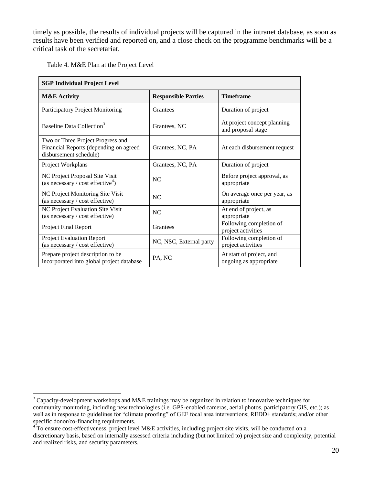timely as possible, the results of individual projects will be captured in the intranet database, as soon as results have been verified and reported on, and a close check on the programme benchmarks will be a critical task of the secretariat.

Table 4. M&E Plan at the Project Level

 $\overline{a}$ 

| <b>SGP Individual Project Level</b>                                                                   |                            |                                                    |
|-------------------------------------------------------------------------------------------------------|----------------------------|----------------------------------------------------|
| <b>M&amp;E</b> Activity                                                                               | <b>Responsible Parties</b> | <b>Timeframe</b>                                   |
| Participatory Project Monitoring                                                                      | Grantees                   | Duration of project                                |
| Baseline Data Collection <sup>3</sup>                                                                 | Grantees, NC               | At project concept planning<br>and proposal stage  |
| Two or Three Project Progress and<br>Financial Reports (depending on agreed<br>disbursement schedule) | Grantees, NC, PA           | At each disbursement request                       |
| Project Workplans                                                                                     | Grantees, NC, PA           | Duration of project                                |
| NC Project Proposal Site Visit<br>(as necessary / cost effective <sup>4</sup> )                       | NC.                        | Before project approval, as<br>appropriate         |
| NC Project Monitoring Site Visit<br>(as necessary / cost effective)                                   | NC.                        | On average once per year, as<br>appropriate        |
| NC Project Evaluation Site Visit<br>(as necessary / cost effective)                                   | NC.                        | At end of project, as<br>appropriate               |
| Project Final Report                                                                                  | Grantees                   | Following completion of<br>project activities      |
| <b>Project Evaluation Report</b><br>(as necessary / cost effective)                                   | NC, NSC, External party    | Following completion of<br>project activities      |
| Prepare project description to be<br>incorporated into global project database                        | PA, NC                     | At start of project, and<br>ongoing as appropriate |

<sup>&</sup>lt;sup>3</sup> Capacity-development workshops and M&E trainings may be organized in relation to innovative techniques for community monitoring, including new technologies (i.e. GPS-enabled cameras, aerial photos, participatory GIS, etc.); as well as in response to guidelines for "climate proofing" of GEF focal area interventions; REDD+ standards; and/or other specific donor/co-financing requirements.

<sup>&</sup>lt;sup>4</sup> To ensure cost-effectiveness, project level M&E activities, including project site visits, will be conducted on a discretionary basis, based on internally assessed criteria including (but not limited to) project size and complexity, potential and realized risks, and security parameters.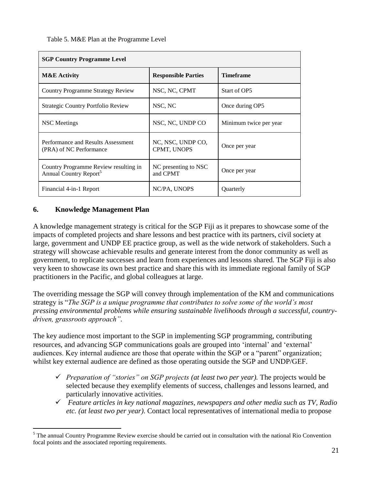Table 5. M&E Plan at the Programme Level

| <b>SGP Country Programme Level</b>                                          |                                  |                        |
|-----------------------------------------------------------------------------|----------------------------------|------------------------|
| <b>M&amp;E</b> Activity                                                     | <b>Responsible Parties</b>       | <b>Timeframe</b>       |
| Country Programme Strategy Review                                           | NSC, NC, CPMT                    | Start of OP5           |
| <b>Strategic Country Portfolio Review</b>                                   | NSC, NC                          | Once during OP5        |
| NSC Meetings                                                                | NSC, NC, UNDP CO                 | Minimum twice per year |
| Performance and Results Assessment<br>(PRA) of NC Performance               | NC, NSC, UNDP CO,<br>CPMT, UNOPS | Once per year          |
| Country Programme Review resulting in<br>Annual Country Report <sup>5</sup> | NC presenting to NSC<br>and CPMT | Once per year          |
| Financial 4-in-1 Report                                                     | NC/PA, UNOPS                     | Quarterly              |

#### **6. Knowledge Management Plan**

 $\overline{a}$ 

A knowledge management strategy is critical for the SGP Fiji as it prepares to showcase some of the impacts of completed projects and share lessons and best practice with its partners, civil society at large, government and UNDP EE practice group, as well as the wide network of stakeholders. Such a strategy will showcase achievable results and generate interest from the donor community as well as government, to replicate successes and learn from experiences and lessons shared. The SGP Fiji is also very keen to showcase its own best practice and share this with its immediate regional family of SGP practitioners in the Pacific, and global colleagues at large.

The overriding message the SGP will convey through implementation of the KM and communications strategy is "*The SGP is a unique programme that contributes to solve some of the world's most pressing environmental problems while ensuring sustainable livelihoods through a successful, countrydriven, grassroots approach".*

The key audience most important to the SGP in implementing SGP programming, contributing resources, and advancing SGP communications goals are grouped into 'internal' and 'external' audiences. Key internal audience are those that operate within the SGP or a "parent" organization; whilst key external audience are defined as those operating outside the SGP and UNDP/GEF.

- *Preparation of "stories" on SGP projects (at least two per year).* The projects would be selected because they exemplify elements of success, challenges and lessons learned, and particularly innovative activities.
- *Feature articles in key national magazines, newspapers and other media such as TV, Radio etc. (at least two per year)*. Contact local representatives of international media to propose

 $<sup>5</sup>$  The annual Country Programme Review exercise should be carried out in consultation with the national Rio Convention</sup> focal points and the associated reporting requirements.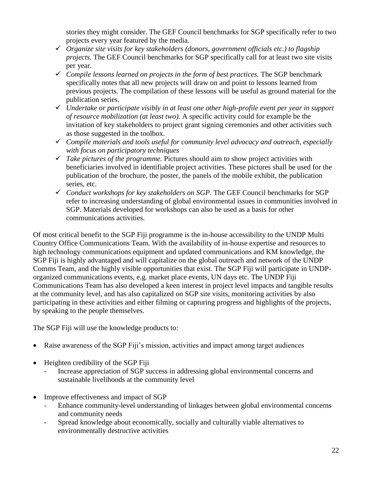stories they might consider. The GEF Council benchmarks for SGP specifically refer to two projects every year featured by the media.

- *Organize site visits for key stakeholders (donors, government officials etc.) to flagship projects.* The GEF Council benchmarks for SGP specifically call for at least two site visits per year.
- *Compile lessons learned on projects in the form of best practices.* The SGP benchmark specifically notes that all new projects will draw on and point to lessons learned from previous projects. The compilation of these lessons will be useful as ground material for the publication series.
- *Undertake or participate visibly in at least one other high-profile event per year in support of resource mobilization (at least two).* A specific activity could for example be the invitation of key stakeholders to project grant signing ceremonies and other activities such as those suggested in the toolbox.
- *Compile materials and tools useful for community level advocacy and outreach, especially with focus on participatory techniques*
- $\checkmark$  Take pictures of the programme. Pictures should aim to show project activities with beneficiaries involved in identifiable project activities. These pictures shall be used for the publication of the brochure, the poster, the panels of the mobile exhibit, the publication series, etc.
- *Conduct workshops for key stakeholders on SGP.* The GEF Council benchmarks for SGP refer to increasing understanding of global environmental issues in communities involved in SGP. Materials developed for workshops can also be used as a basis for other communications activities.

Of most critical benefit to the SGP Fiji programme is the in-house accessibility to the UNDP Multi Country Office Communications Team. With the availability of in-house expertise and resources to high technology communications equipment and updated communications and KM knowledge, the SGP Fiji is highly advantaged and will capitalize on the global outreach and network of the UNDP Comms Team, and the highly visible opportunities that exist. The SGP Fiji will participate in UNDPorganized communications events, e.g. market place events, UN days etc. The UNDP Fiji Communications Team has also developed a keen interest in project level impacts and tangible results at the community level, and has also capitalized on SGP site visits, monitoring activities by also participating in these activities and either filming or capturing progress and highlights of the projects, by speaking to the people themselves.

The SGP Fiji will use the knowledge products to:

- Raise awareness of the SGP Fiji's mission, activities and impact among target audiences
- Heighten credibility of the SGP Fiji
	- Increase appreciation of SGP success in addressing global environmental concerns and sustainable livelihoods at the community level
- Improve effectiveness and impact of SGP
	- Enhance community-level understanding of linkages between global environmental concerns and community needs
	- Spread knowledge about economically, socially and culturally viable alternatives to environmentally destructive activities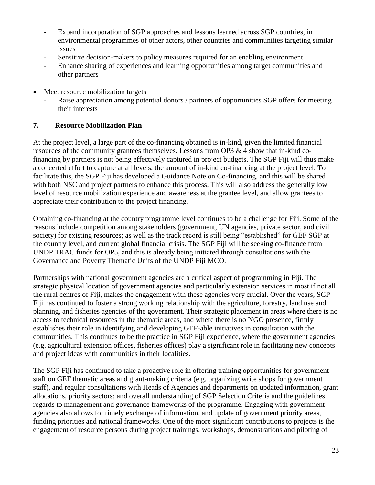- Expand incorporation of SGP approaches and lessons learned across SGP countries, in environmental programmes of other actors, other countries and communities targeting similar issues
- Sensitize decision-makers to policy measures required for an enabling environment
- Enhance sharing of experiences and learning opportunities among target communities and other partners
- Meet resource mobilization targets
	- Raise appreciation among potential donors / partners of opportunities SGP offers for meeting their interests

#### **7. Resource Mobilization Plan**

At the project level, a large part of the co-financing obtained is in-kind, given the limited financial resources of the community grantees themselves. Lessons from OP3 & 4 show that in-kind cofinancing by partners is not being effectively captured in project budgets. The SGP Fiji will thus make a concerted effort to capture at all levels, the amount of in-kind co-financing at the project level. To facilitate this, the SGP Fiji has developed a Guidance Note on Co-financing, and this will be shared with both NSC and project partners to enhance this process. This will also address the generally low level of resource mobilization experience and awareness at the grantee level, and allow grantees to appreciate their contribution to the project financing.

Obtaining co-financing at the country programme level continues to be a challenge for Fiji. Some of the reasons include competition among stakeholders (government, UN agencies, private sector, and civil society) for existing resources; as well as the track record is still being "established" for GEF SGP at the country level, and current global financial crisis. The SGP Fiji will be seeking co-finance from UNDP TRAC funds for OP5, and this is already being initiated through consultations with the Governance and Poverty Thematic Units of the UNDP Fiji MCO.

Partnerships with national government agencies are a critical aspect of programming in Fiji. The strategic physical location of government agencies and particularly extension services in most if not all the rural centres of Fiji, makes the engagement with these agencies very crucial. Over the years, SGP Fiji has continued to foster a strong working relationship with the agriculture, forestry, land use and planning, and fisheries agencies of the government. Their strategic placement in areas where there is no access to technical resources in the thematic areas, and where there is no NGO presence, firmly establishes their role in identifying and developing GEF-able initiatives in consultation with the communities. This continues to be the practice in SGP Fiji experience, where the government agencies (e.g. agricultural extension offices, fisheries offices) play a significant role in facilitating new concepts and project ideas with communities in their localities.

The SGP Fiji has continued to take a proactive role in offering training opportunities for government staff on GEF thematic areas and grant-making criteria (e.g. organizing write shops for government staff), and regular consultations with Heads of Agencies and departments on updated information, grant allocations, priority sectors; and overall understanding of SGP Selection Criteria and the guidelines regards to management and governance frameworks of the programme. Engaging with government agencies also allows for timely exchange of information, and update of government priority areas, funding priorities and national frameworks. One of the more significant contributions to projects is the engagement of resource persons during project trainings, workshops, demonstrations and piloting of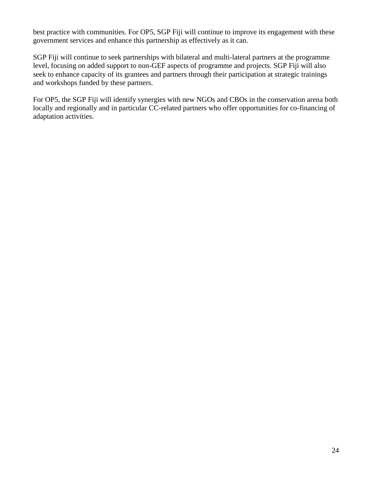best practice with communities. For OP5, SGP Fiji will continue to improve its engagement with these government services and enhance this partnership as effectively as it can.

SGP Fiji will continue to seek partnerships with bilateral and multi-lateral partners at the programme level, focusing on added support to non-GEF aspects of programme and projects. SGP Fiji will also seek to enhance capacity of its grantees and partners through their participation at strategic trainings and workshops funded by these partners.

For OP5, the SGP Fiji will identify synergies with new NGOs and CBOs in the conservation arena both locally and regionally and in particular CC-related partners who offer opportunities for co-financing of adaptation activities.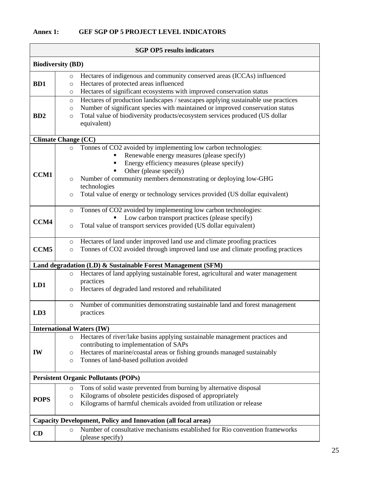# **Annex 1: GEF SGP OP 5 PROJECT LEVEL INDICATORS**

| <b>SGP OP5</b> results indicators |                                                                                                                                                                                                                                                                                                                                                                                          |  |
|-----------------------------------|------------------------------------------------------------------------------------------------------------------------------------------------------------------------------------------------------------------------------------------------------------------------------------------------------------------------------------------------------------------------------------------|--|
| <b>Biodiversity (BD)</b>          |                                                                                                                                                                                                                                                                                                                                                                                          |  |
| B <sub>D</sub> 1                  | Hectares of indigenous and community conserved areas (ICCAs) influenced<br>$\circ$<br>Hectares of protected areas influenced<br>$\circ$<br>Hectares of significant ecosystems with improved conservation status<br>O                                                                                                                                                                     |  |
| B <sub>D</sub> 2                  | Hectares of production landscapes / seascapes applying sustainable use practices<br>$\circ$<br>Number of significant species with maintained or improved conservation status<br>$\circ$<br>Total value of biodiversity products/ecosystem services produced (US dollar<br>$\circ$<br>equivalent)                                                                                         |  |
|                                   | <b>Climate Change (CC)</b>                                                                                                                                                                                                                                                                                                                                                               |  |
| <b>CCM1</b>                       | Tonnes of CO2 avoided by implementing low carbon technologies:<br>$\circ$<br>Renewable energy measures (please specify)<br>Energy efficiency measures (please specify)<br>Other (please specify)<br>Number of community members demonstrating or deploying low-GHG<br>$\circ$<br>technologies<br>Total value of energy or technology services provided (US dollar equivalent)<br>$\circ$ |  |
| CCM4                              | Tonnes of CO2 avoided by implementing low carbon technologies:<br>$\circ$<br>Low carbon transport practices (please specify)<br>Total value of transport services provided (US dollar equivalent)<br>$\circ$                                                                                                                                                                             |  |
| CCM <sub>5</sub>                  | Hectares of land under improved land use and climate proofing practices<br>$\circ$<br>Tonnes of CO2 avoided through improved land use and climate proofing practices<br>$\circ$                                                                                                                                                                                                          |  |
|                                   | Land degradation (LD) & Sustainable Forest Management (SFM)                                                                                                                                                                                                                                                                                                                              |  |
| LD1                               | Hectares of land applying sustainable forest, agricultural and water management<br>$\circ$<br>practices<br>Hectares of degraded land restored and rehabilitated<br>$\circ$                                                                                                                                                                                                               |  |
| LD3                               | Number of communities demonstrating sustainable land and forest management<br>$\circ$<br>practices                                                                                                                                                                                                                                                                                       |  |
|                                   | <b>International Waters (IW)</b>                                                                                                                                                                                                                                                                                                                                                         |  |
| <b>IW</b>                         | Hectares of river/lake basins applying sustainable management practices and<br>$\circ$<br>contributing to implementation of SAPs<br>Hectares of marine/coastal areas or fishing grounds managed sustainably<br>$\circ$<br>Tonnes of land-based pollution avoided<br>$\circ$                                                                                                              |  |
|                                   | <b>Persistent Organic Pollutants (POPs)</b>                                                                                                                                                                                                                                                                                                                                              |  |
| <b>POPS</b>                       | Tons of solid waste prevented from burning by alternative disposal<br>$\circ$<br>Kilograms of obsolete pesticides disposed of appropriately<br>$\circ$<br>Kilograms of harmful chemicals avoided from utilization or release<br>O                                                                                                                                                        |  |
|                                   | <b>Capacity Development, Policy and Innovation (all focal areas)</b>                                                                                                                                                                                                                                                                                                                     |  |
| CD                                | Number of consultative mechanisms established for Rio convention frameworks<br>$\circ$<br>(please specify)                                                                                                                                                                                                                                                                               |  |